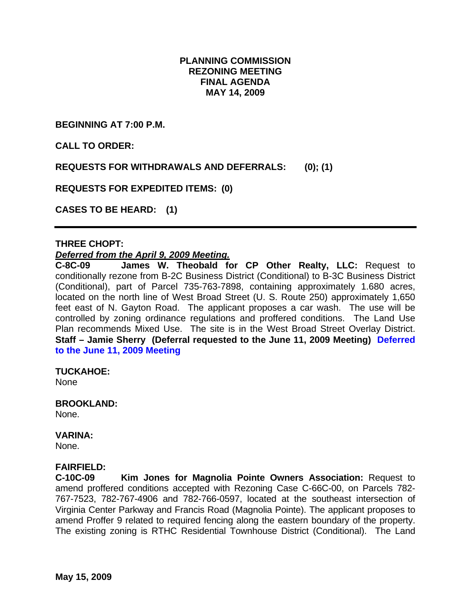## **PLANNING COMMISSION REZONING MEETING FINAL AGENDA MAY 14, 2009**

**BEGINNING AT 7:00 P.M.** 

**CALL TO ORDER:** 

**REQUESTS FOR WITHDRAWALS AND DEFERRALS: (0); (1)** 

**REQUESTS FOR EXPEDITED ITEMS: (0)** 

**CASES TO BE HEARD: (1)** 

### **THREE CHOPT:**

#### *Deferred from the April 9, 2009 Meeting.*

**C-8C-09 James W. Theobald for CP Other Realty, LLC:** Request to conditionally rezone from B-2C Business District (Conditional) to B-3C Business District (Conditional), part of Parcel 735-763-7898, containing approximately 1.680 acres, located on the north line of West Broad Street (U. S. Route 250) approximately 1,650 feet east of N. Gayton Road. The applicant proposes a car wash. The use will be controlled by zoning ordinance regulations and proffered conditions. The Land Use Plan recommends Mixed Use. The site is in the West Broad Street Overlay District. **Staff – Jamie Sherry (Deferral requested to the June 11, 2009 Meeting) Deferred to the June 11, 2009 Meeting** 

**TUCKAHOE:** 

None

#### **BROOKLAND:**

None.

#### **VARINA:**

None.

#### **FAIRFIELD:**

**C-10C-09 Kim Jones for Magnolia Pointe Owners Association:** Request to amend proffered conditions accepted with Rezoning Case C-66C-00, on Parcels 782- 767-7523, 782-767-4906 and 782-766-0597, located at the southeast intersection of Virginia Center Parkway and Francis Road (Magnolia Pointe). The applicant proposes to amend Proffer 9 related to required fencing along the eastern boundary of the property. The existing zoning is RTHC Residential Townhouse District (Conditional). The Land